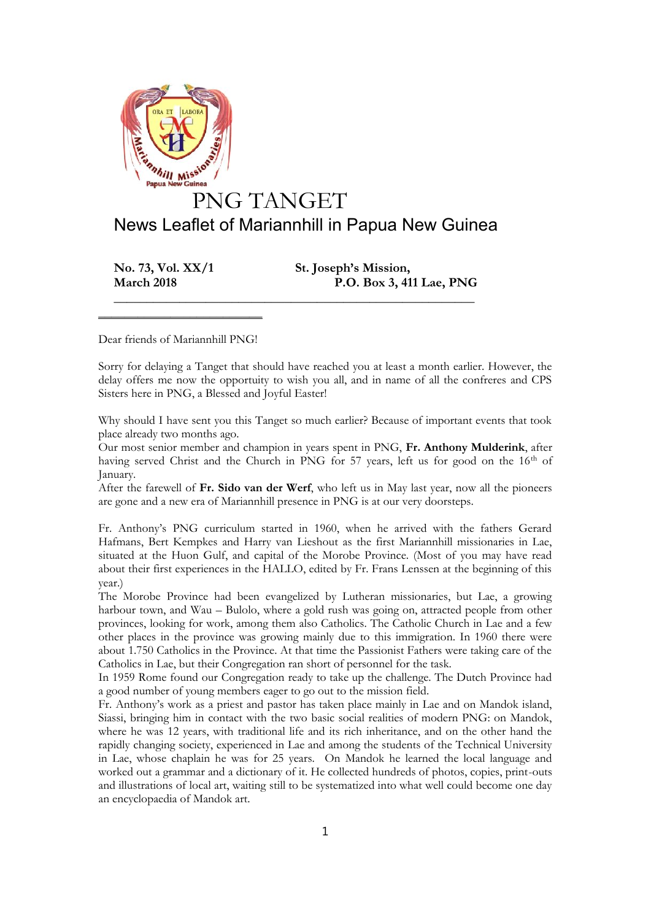

**No. 73, Vol. XX/1 St. Joseph's Mission,**

**March 2018 P.O. Box 3, 411 Lae, PNG**

Dear friends of Mariannhill PNG!

 $\mathcal{L}=\mathcal{L}=\mathcal{L}=\mathcal{L}=\mathcal{L}=\mathcal{L}=\mathcal{L}=\mathcal{L}=\mathcal{L}=\mathcal{L}=\mathcal{L}=\mathcal{L}=\mathcal{L}=\mathcal{L}=\mathcal{L}=\mathcal{L}=\mathcal{L}=\mathcal{L}=\mathcal{L}=\mathcal{L}=\mathcal{L}=\mathcal{L}=\mathcal{L}=\mathcal{L}=\mathcal{L}=\mathcal{L}=\mathcal{L}=\mathcal{L}=\mathcal{L}=\mathcal{L}=\mathcal{L}=\mathcal{L}=\mathcal{L}=\mathcal{L}=\mathcal{L}=\mathcal{L}=\mathcal{$ 

Sorry for delaying a Tanget that should have reached you at least a month earlier. However, the delay offers me now the opportuity to wish you all, and in name of all the confreres and CPS Sisters here in PNG, a Blessed and Joyful Easter!

**\_\_\_\_\_\_\_\_\_\_\_\_\_\_\_\_\_\_\_\_\_\_\_\_\_\_\_\_\_\_\_\_\_\_\_\_\_\_\_\_\_\_\_\_\_\_\_\_\_\_\_\_\_\_\_**

Why should I have sent you this Tanget so much earlier? Because of important events that took place already two months ago.

Our most senior member and champion in years spent in PNG, **Fr. Anthony Mulderink**, after having served Christ and the Church in PNG for 57 years, left us for good on the 16<sup>th</sup> of January.

After the farewell of **Fr. Sido van der Werf**, who left us in May last year, now all the pioneers are gone and a new era of Mariannhill presence in PNG is at our very doorsteps.

Fr. Anthony's PNG curriculum started in 1960, when he arrived with the fathers Gerard Hafmans, Bert Kempkes and Harry van Lieshout as the first Mariannhill missionaries in Lae, situated at the Huon Gulf, and capital of the Morobe Province. (Most of you may have read about their first experiences in the HALLO, edited by Fr. Frans Lenssen at the beginning of this year.)

The Morobe Province had been evangelized by Lutheran missionaries, but Lae, a growing harbour town, and Wau – Bulolo, where a gold rush was going on, attracted people from other provinces, looking for work, among them also Catholics. The Catholic Church in Lae and a few other places in the province was growing mainly due to this immigration. In 1960 there were about 1.750 Catholics in the Province. At that time the Passionist Fathers were taking care of the Catholics in Lae, but their Congregation ran short of personnel for the task.

In 1959 Rome found our Congregation ready to take up the challenge. The Dutch Province had a good number of young members eager to go out to the mission field.

Fr. Anthony's work as a priest and pastor has taken place mainly in Lae and on Mandok island, Siassi, bringing him in contact with the two basic social realities of modern PNG: on Mandok, where he was 12 years, with traditional life and its rich inheritance, and on the other hand the rapidly changing society, experienced in Lae and among the students of the Technical University in Lae, whose chaplain he was for 25 years. On Mandok he learned the local language and worked out a grammar and a dictionary of it. He collected hundreds of photos, copies, print-outs and illustrations of local art, waiting still to be systematized into what well could become one day an encyclopaedia of Mandok art.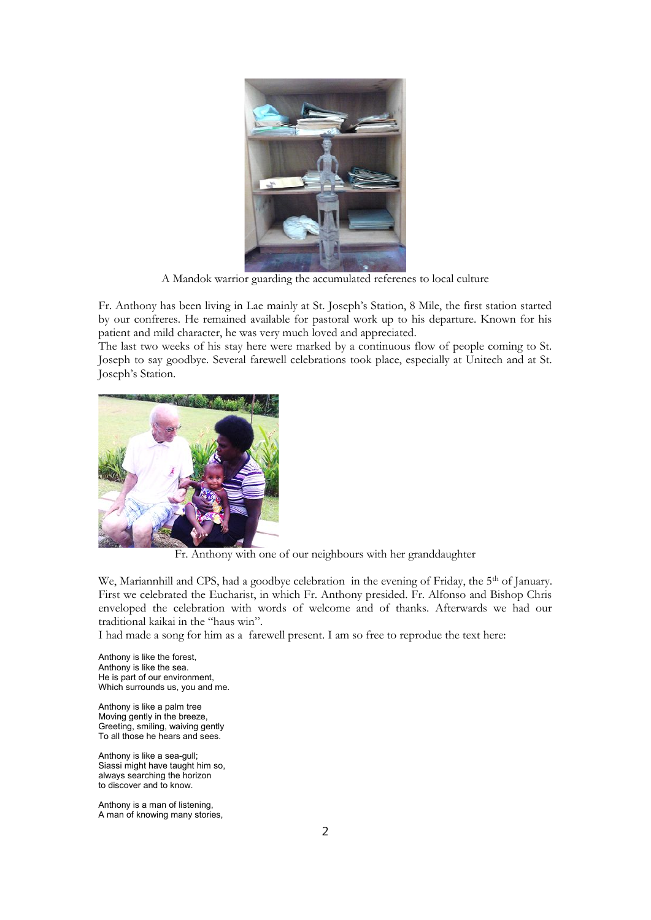

A Mandok warrior guarding the accumulated referenes to local culture

Fr. Anthony has been living in Lae mainly at St. Joseph's Station, 8 Mile, the first station started by our confreres. He remained available for pastoral work up to his departure. Known for his patient and mild character, he was very much loved and appreciated.

The last two weeks of his stay here were marked by a continuous flow of people coming to St. Joseph to say goodbye. Several farewell celebrations took place, especially at Unitech and at St. Joseph's Station.



Fr. Anthony with one of our neighbours with her granddaughter

We, Mariannhill and CPS, had a goodbye celebration in the evening of Friday, the 5<sup>th</sup> of January. First we celebrated the Eucharist, in which Fr. Anthony presided. Fr. Alfonso and Bishop Chris enveloped the celebration with words of welcome and of thanks. Afterwards we had our traditional kaikai in the "haus win".

I had made a song for him as a farewell present. I am so free to reprodue the text here:

Anthony is like the forest, Anthony is like the sea. He is part of our environment, Which surrounds us, you and me.

Anthony is like a palm tree Moving gently in the breeze, Greeting, smiling, waiving gently To all those he hears and sees.

Anthony is like a sea-gull; Siassi might have taught him so, always searching the horizon to discover and to know.

Anthony is a man of listening, A man of knowing many stories,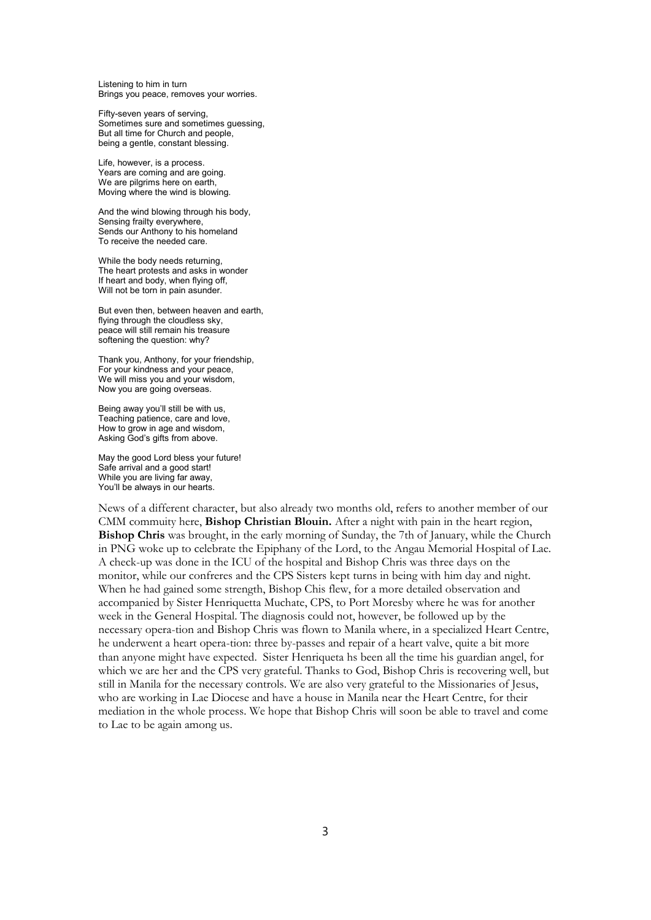Listening to him in turn Brings you peace, removes your worries.

Fifty-seven years of serving, Sometimes sure and sometimes guessing, But all time for Church and people, being a gentle, constant blessing.

Life, however, is a process. Years are coming and are going. We are pilgrims here on earth, Moving where the wind is blowing.

And the wind blowing through his body, Sensing frailty everywhere, Sends our Anthony to his homeland To receive the needed care.

While the body needs returning, The heart protests and asks in wonder If heart and body, when flying off, Will not be torn in pain asunder.

But even then, between heaven and earth, flying through the cloudless sky, peace will still remain his treasure softening the question: why?

Thank you, Anthony, for your friendship, For your kindness and your peace, We will miss you and your wisdom, Now you are going overseas.

Being away you'll still be with us, Teaching patience, care and love, How to grow in age and wisdom, Asking God's gifts from above.

May the good Lord bless your future! Safe arrival and a good start! While you are living far away, You'll be always in our hearts.

News of a different character, but also already two months old, refers to another member of our CMM commuity here, **Bishop Christian Blouin.** After a night with pain in the heart region, **Bishop Chris** was brought, in the early morning of Sunday, the 7th of January, while the Church in PNG woke up to celebrate the Epiphany of the Lord, to the Angau Memorial Hospital of Lae. A check-up was done in the ICU of the hospital and Bishop Chris was three days on the monitor, while our confreres and the CPS Sisters kept turns in being with him day and night. When he had gained some strength, Bishop Chis flew, for a more detailed observation and accompanied by Sister Henriquetta Muchate, CPS, to Port Moresby where he was for another week in the General Hospital. The diagnosis could not, however, be followed up by the necessary opera-tion and Bishop Chris was flown to Manila where, in a specialized Heart Centre, he underwent a heart opera-tion: three by-passes and repair of a heart valve, quite a bit more than anyone might have expected. Sister Henriqueta hs been all the time his guardian angel, for which we are her and the CPS very grateful. Thanks to God, Bishop Chris is recovering well, but still in Manila for the necessary controls. We are also very grateful to the Missionaries of Jesus, who are working in Lae Diocese and have a house in Manila near the Heart Centre, for their mediation in the whole process. We hope that Bishop Chris will soon be able to travel and come to Lae to be again among us.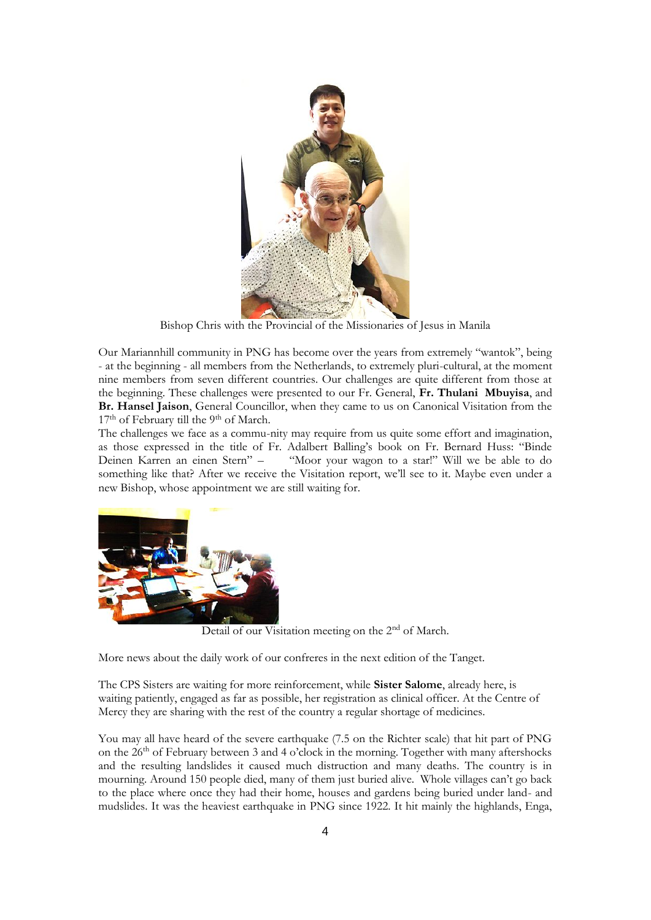

Bishop Chris with the Provincial of the Missionaries of Jesus in Manila

Our Mariannhill community in PNG has become over the years from extremely "wantok", being - at the beginning - all members from the Netherlands, to extremely pluri-cultural, at the moment nine members from seven different countries. Our challenges are quite different from those at the beginning. These challenges were presented to our Fr. General, **Fr. Thulani Mbuyisa**, and **Br. Hansel Jaison**, General Councillor, when they came to us on Canonical Visitation from the 17<sup>th</sup> of February till the 9<sup>th</sup> of March.

The challenges we face as a commu-nity may require from us quite some effort and imagination, as those expressed in the title of Fr. Adalbert Balling's book on Fr. Bernard Huss: "Binde "Moor your wagon to a star!" Will we be able to do something like that? After we receive the Visitation report, we'll see to it. Maybe even under a new Bishop, whose appointment we are still waiting for.



Detail of our Visitation meeting on the 2<sup>nd</sup> of March.

More news about the daily work of our confreres in the next edition of the Tanget.

The CPS Sisters are waiting for more reinforcement, while **Sister Salome**, already here, is waiting patiently, engaged as far as possible, her registration as clinical officer. At the Centre of Mercy they are sharing with the rest of the country a regular shortage of medicines.

You may all have heard of the severe earthquake (7.5 on the Richter scale) that hit part of PNG on the  $26<sup>th</sup>$  of February between 3 and 4 o'clock in the morning. Together with many aftershocks and the resulting landslides it caused much distruction and many deaths. The country is in mourning. Around 150 people died, many of them just buried alive. Whole villages can't go back to the place where once they had their home, houses and gardens being buried under land- and mudslides. It was the heaviest earthquake in PNG since 1922. It hit mainly the highlands, Enga,